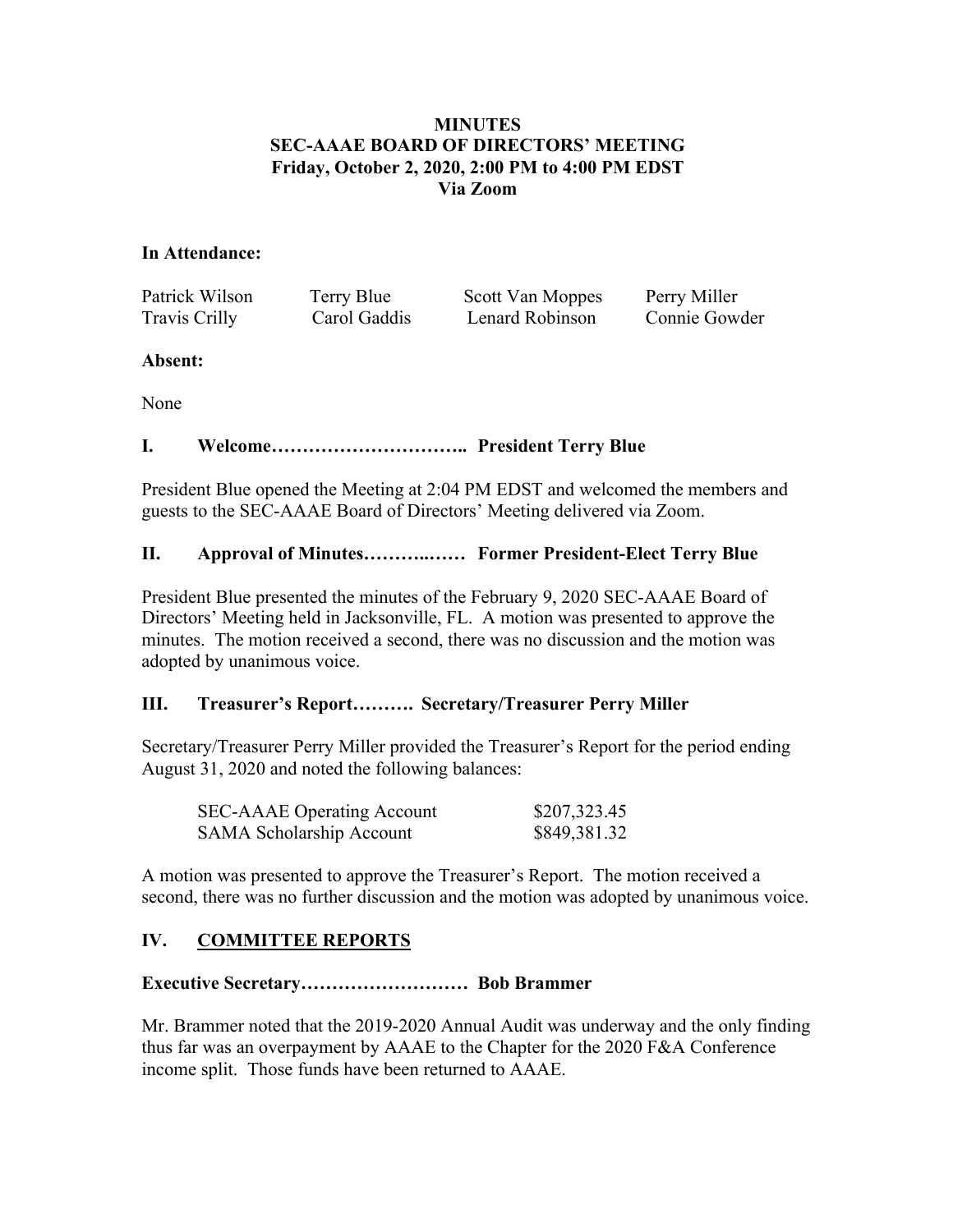# **MINUTES SEC-AAAE BOARD OF DIRECTORS' MEETING Friday, October 2, 2020, 2:00 PM to 4:00 PM EDST Via Zoom**

## **In Attendance:**

Patrick Wilson Terry Blue Scott Van Moppes Perry Miller Travis Crilly Carol Gaddis Lenard Robinson Connie Gowder

## **Absent:**

None

# **I. Welcome………………………….. President Terry Blue**

President Blue opened the Meeting at 2:04 PM EDST and welcomed the members and guests to the SEC-AAAE Board of Directors' Meeting delivered via Zoom.

# **II. Approval of Minutes………..…… Former President-Elect Terry Blue**

President Blue presented the minutes of the February 9, 2020 SEC-AAAE Board of Directors' Meeting held in Jacksonville, FL. A motion was presented to approve the minutes. The motion received a second, there was no discussion and the motion was adopted by unanimous voice.

# **III. Treasurer's Report………. Secretary/Treasurer Perry Miller**

Secretary/Treasurer Perry Miller provided the Treasurer's Report for the period ending August 31, 2020 and noted the following balances:

| <b>SEC-AAAE</b> Operating Account | \$207,323.45 |
|-----------------------------------|--------------|
| <b>SAMA Scholarship Account</b>   | \$849,381.32 |

A motion was presented to approve the Treasurer's Report. The motion received a second, there was no further discussion and the motion was adopted by unanimous voice.

# **IV. COMMITTEE REPORTS**

# **Executive Secretary……………………… Bob Brammer**

Mr. Brammer noted that the 2019-2020 Annual Audit was underway and the only finding thus far was an overpayment by AAAE to the Chapter for the 2020 F&A Conference income split. Those funds have been returned to AAAE.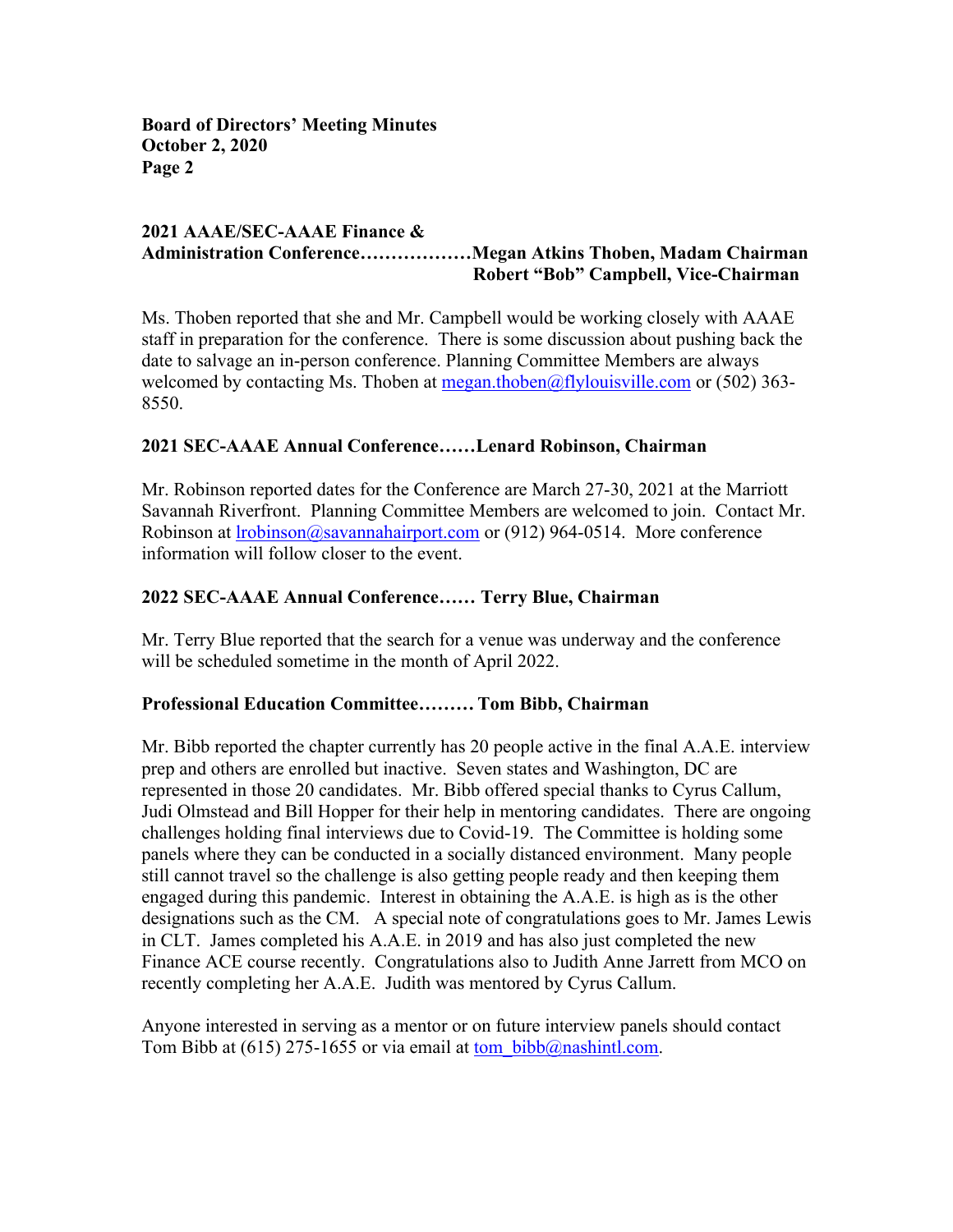#### **2021 AAAE/SEC-AAAE Finance & Administration Conference………………Megan Atkins Thoben, Madam Chairman Robert "Bob" Campbell, Vice-Chairman**

Ms. Thoben reported that she and Mr. Campbell would be working closely with AAAE staff in preparation for the conference. There is some discussion about pushing back the date to salvage an in-person conference. Planning Committee Members are always welcomed by contacting Ms. Thoben at  $\text{mean.thoben}(a)$ flylouisville.com or (502) 363-8550.

## **2021 SEC-AAAE Annual Conference……Lenard Robinson, Chairman**

Mr. Robinson reported dates for the Conference are March 27-30, 2021 at the Marriott Savannah Riverfront. Planning Committee Members are welcomed to join. Contact Mr. Robinson at lrobinson@savannahairport.com or (912) 964-0514. More conference information will follow closer to the event.

### **2022 SEC-AAAE Annual Conference…… Terry Blue, Chairman**

Mr. Terry Blue reported that the search for a venue was underway and the conference will be scheduled sometime in the month of April 2022.

### **Professional Education Committee……… Tom Bibb, Chairman**

Mr. Bibb reported the chapter currently has 20 people active in the final A.A.E. interview prep and others are enrolled but inactive. Seven states and Washington, DC are represented in those 20 candidates. Mr. Bibb offered special thanks to Cyrus Callum, Judi Olmstead and Bill Hopper for their help in mentoring candidates. There are ongoing challenges holding final interviews due to Covid-19. The Committee is holding some panels where they can be conducted in a socially distanced environment. Many people still cannot travel so the challenge is also getting people ready and then keeping them engaged during this pandemic. Interest in obtaining the A.A.E. is high as is the other designations such as the CM. A special note of congratulations goes to Mr. James Lewis in CLT. James completed his A.A.E. in 2019 and has also just completed the new Finance ACE course recently. Congratulations also to Judith Anne Jarrett from MCO on recently completing her A.A.E. Judith was mentored by Cyrus Callum.

Anyone interested in serving as a mentor or on future interview panels should contact Tom Bibb at (615) 275-1655 or via email at tom bibb@nashintl.com.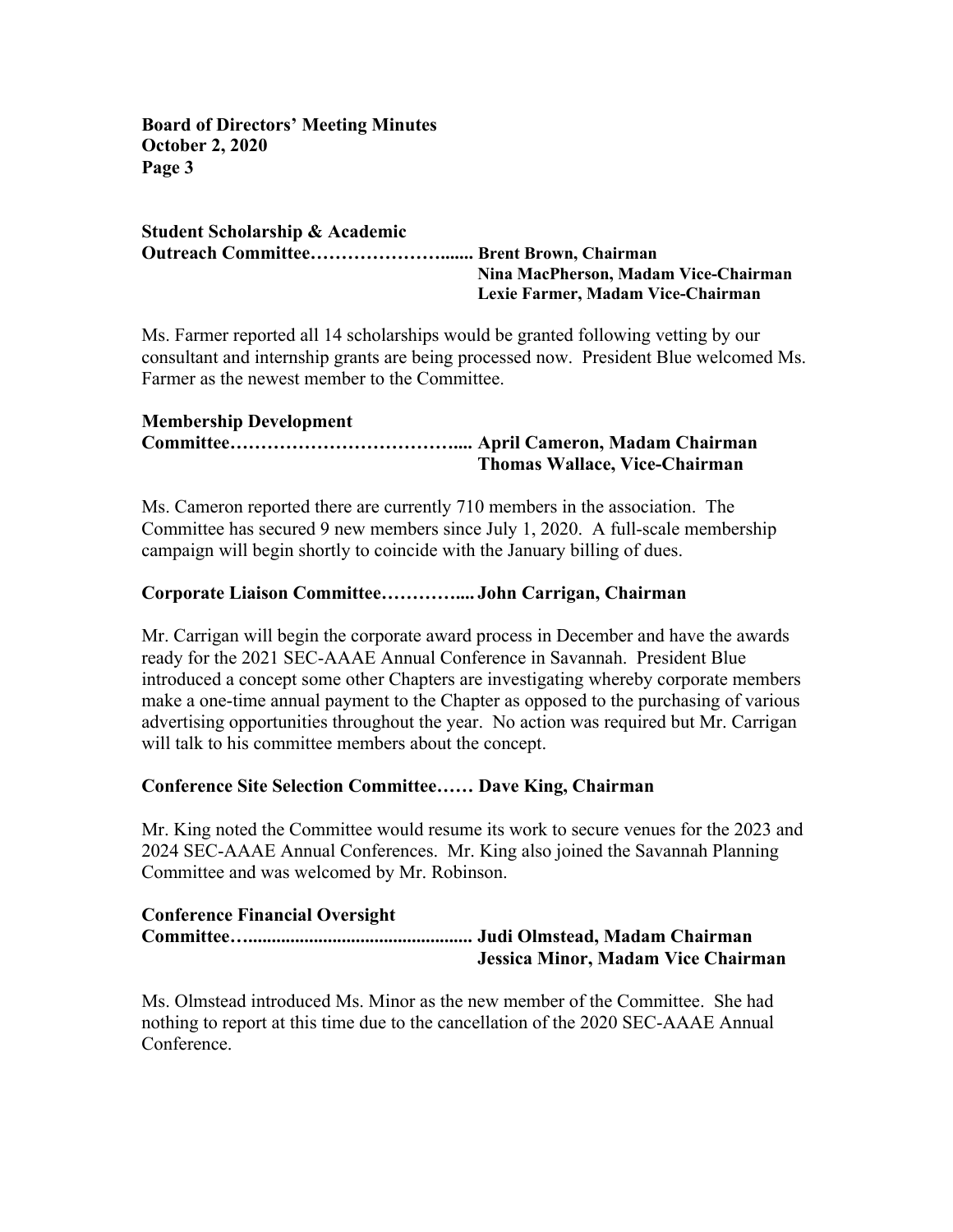**Student Scholarship & Academic Outreach Committee…………………....... Brent Brown, Chairman Nina MacPherson, Madam Vice-Chairman Lexie Farmer, Madam Vice-Chairman**

Ms. Farmer reported all 14 scholarships would be granted following vetting by our consultant and internship grants are being processed now. President Blue welcomed Ms. Farmer as the newest member to the Committee.

# **Membership Development**

## **Committee……………………………….... April Cameron, Madam Chairman Thomas Wallace, Vice-Chairman**

Ms. Cameron reported there are currently 710 members in the association. The Committee has secured 9 new members since July 1, 2020. A full-scale membership campaign will begin shortly to coincide with the January billing of dues.

# **Corporate Liaison Committee………….... John Carrigan, Chairman**

Mr. Carrigan will begin the corporate award process in December and have the awards ready for the 2021 SEC-AAAE Annual Conference in Savannah.President Blue introduced a concept some other Chapters are investigating whereby corporate members make a one-time annual payment to the Chapter as opposed to the purchasing of various advertising opportunities throughout the year. No action was required but Mr. Carrigan will talk to his committee members about the concept.

# **Conference Site Selection Committee…… Dave King, Chairman**

Mr. King noted the Committee would resume its work to secure venues for the 2023 and 2024 SEC-AAAE Annual Conferences. Mr. King also joined the Savannah Planning Committee and was welcomed by Mr. Robinson.

# **Conference Financial Oversight Committee…................................................ Judi Olmstead, Madam Chairman**

**Jessica Minor, Madam Vice Chairman**

Ms. Olmstead introduced Ms. Minor as the new member of the Committee. She had nothing to report at this time due to the cancellation of the 2020 SEC-AAAE Annual Conference.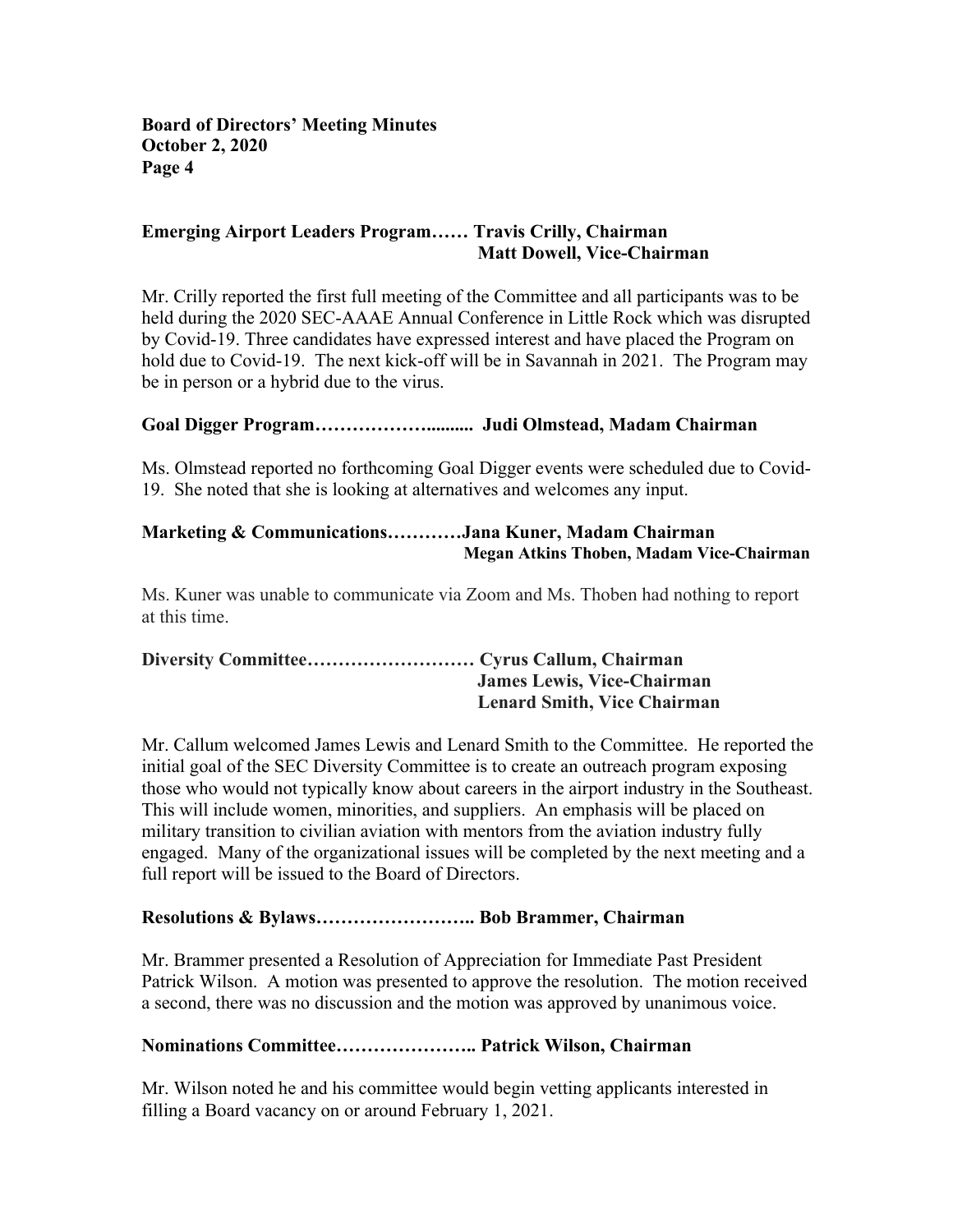# **Emerging Airport Leaders Program…… Travis Crilly, Chairman Matt Dowell, Vice-Chairman**

Mr. Crilly reported the first full meeting of the Committee and all participants was to be held during the 2020 SEC-AAAE Annual Conference in Little Rock which was disrupted by Covid-19. Three candidates have expressed interest and have placed the Program on hold due to Covid-19. The next kick-off will be in Savannah in 2021. The Program may be in person or a hybrid due to the virus.

## **Goal Digger Program……………….......... Judi Olmstead, Madam Chairman**

Ms. Olmstead reported no forthcoming Goal Digger events were scheduled due to Covid-19. She noted that she is looking at alternatives and welcomes any input.

## **Marketing & Communications…………Jana Kuner, Madam Chairman Megan Atkins Thoben, Madam Vice-Chairman**

Ms. Kuner was unable to communicate via Zoom and Ms. Thoben had nothing to report at this time.

| <b>James Lewis, Vice-Chairman</b>  |
|------------------------------------|
| <b>Lenard Smith, Vice Chairman</b> |

Mr. Callum welcomed James Lewis and Lenard Smith to the Committee. He reported the initial goal of the SEC Diversity Committee is to create an outreach program exposing those who would not typically know about careers in the airport industry in the Southeast. This will include women, minorities, and suppliers. An emphasis will be placed on military transition to civilian aviation with mentors from the aviation industry fully engaged. Many of the organizational issues will be completed by the next meeting and a full report will be issued to the Board of Directors.

# **Resolutions & Bylaws…………………….. Bob Brammer, Chairman**

Mr. Brammer presented a Resolution of Appreciation for Immediate Past President Patrick Wilson. A motion was presented to approve the resolution. The motion received a second, there was no discussion and the motion was approved by unanimous voice.

### **Nominations Committee………………….. Patrick Wilson, Chairman**

Mr. Wilson noted he and his committee would begin vetting applicants interested in filling a Board vacancy on or around February 1, 2021.